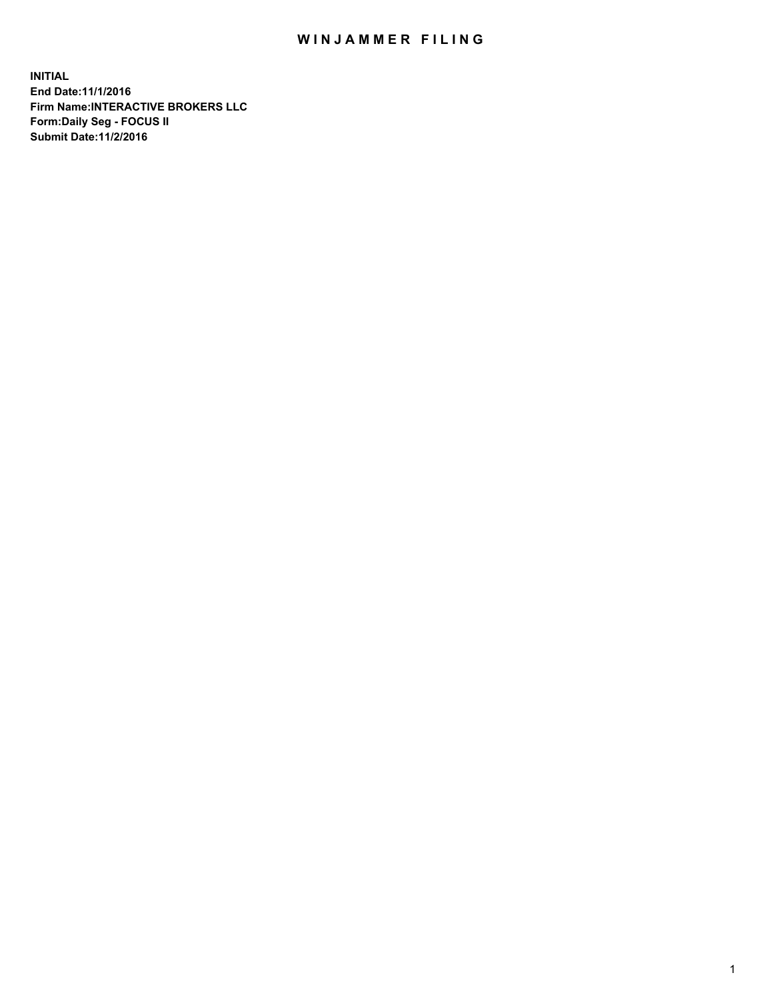## WIN JAMMER FILING

**INITIAL End Date:11/1/2016 Firm Name:INTERACTIVE BROKERS LLC Form:Daily Seg - FOCUS II Submit Date:11/2/2016**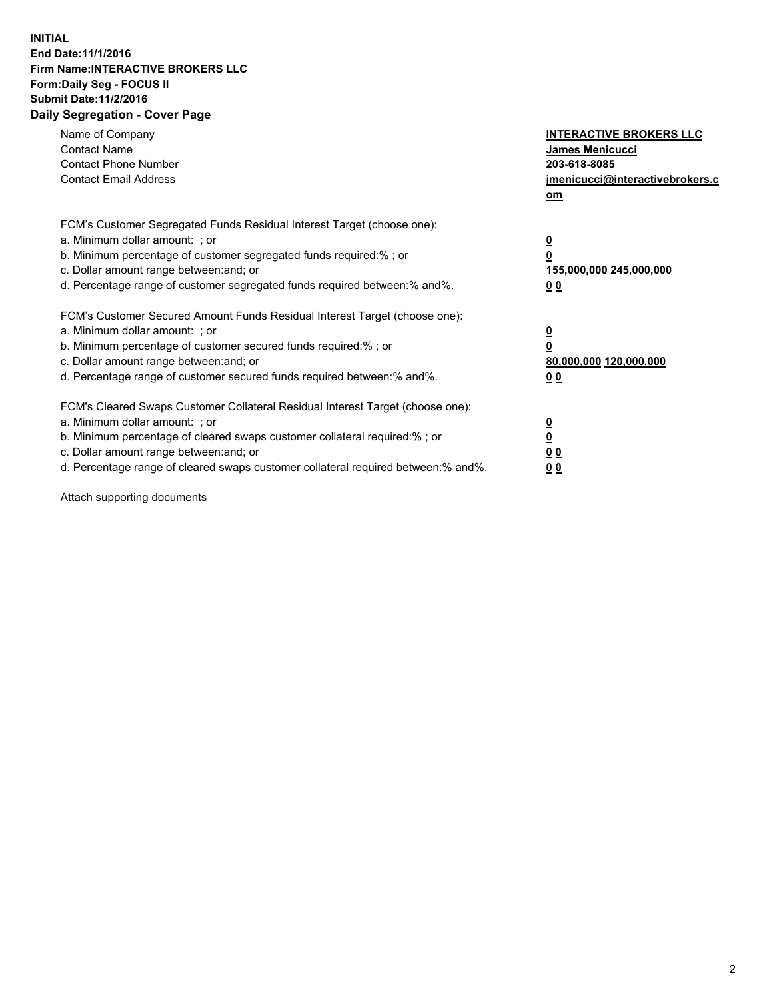## **INITIAL End Date:11/1/2016 Firm Name:INTERACTIVE BROKERS LLC Form:Daily Seg - FOCUS II Submit Date:11/2/2016 Daily Segregation - Cover Page**

| Name of Company<br><b>Contact Name</b><br><b>Contact Phone Number</b><br><b>Contact Email Address</b>                                                                                                                                                                                                                          | <b>INTERACTIVE BROKERS LLC</b><br><b>James Menicucci</b><br>203-618-8085<br>jmenicucci@interactivebrokers.c<br>om |
|--------------------------------------------------------------------------------------------------------------------------------------------------------------------------------------------------------------------------------------------------------------------------------------------------------------------------------|-------------------------------------------------------------------------------------------------------------------|
| FCM's Customer Segregated Funds Residual Interest Target (choose one):<br>a. Minimum dollar amount: ; or<br>b. Minimum percentage of customer segregated funds required:%; or<br>c. Dollar amount range between: and; or<br>d. Percentage range of customer segregated funds required between:% and%.                          | $\overline{\mathbf{0}}$<br>0<br>155,000,000 245,000,000<br>0 <sub>0</sub>                                         |
| FCM's Customer Secured Amount Funds Residual Interest Target (choose one):<br>a. Minimum dollar amount: ; or<br>b. Minimum percentage of customer secured funds required:%; or<br>c. Dollar amount range between: and; or<br>d. Percentage range of customer secured funds required between: % and %.                          | $\overline{\mathbf{0}}$<br>0<br>80,000,000 120,000,000<br>00                                                      |
| FCM's Cleared Swaps Customer Collateral Residual Interest Target (choose one):<br>a. Minimum dollar amount: ; or<br>b. Minimum percentage of cleared swaps customer collateral required:% ; or<br>c. Dollar amount range between: and; or<br>d. Percentage range of cleared swaps customer collateral required between:% and%. | $\overline{\mathbf{0}}$<br>$\overline{\mathbf{0}}$<br>0 <sub>0</sub><br><u>00</u>                                 |

Attach supporting documents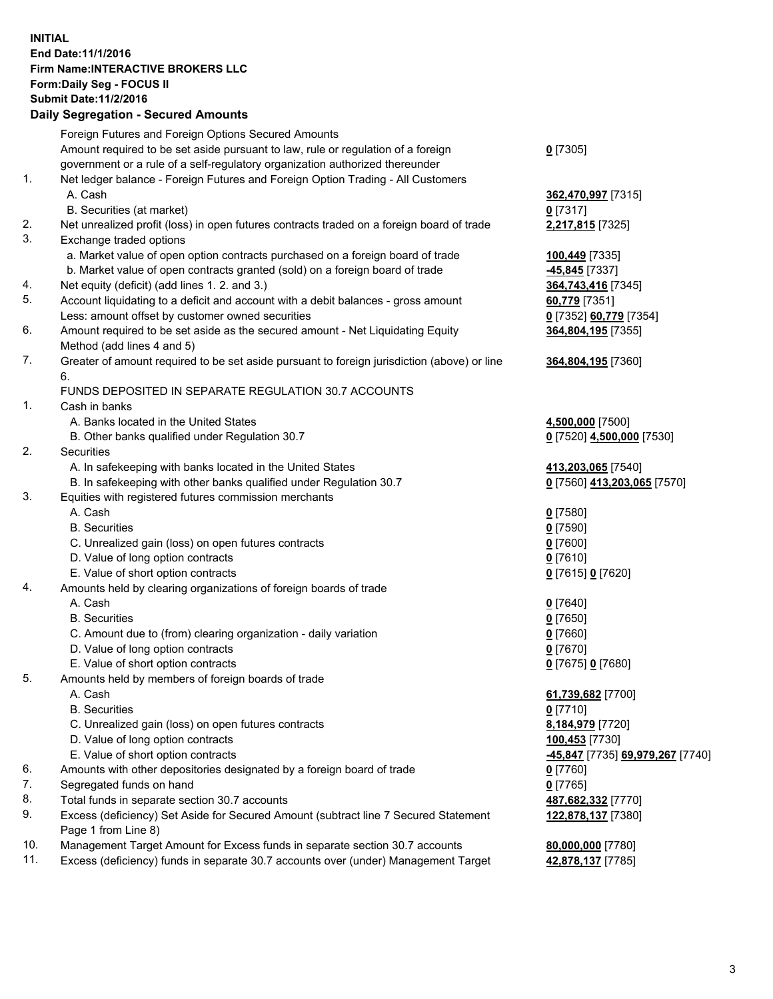## **INITIAL End Date:11/1/2016 Firm Name:INTERACTIVE BROKERS LLC Form:Daily Seg - FOCUS II Submit Date:11/2/2016 Daily Segregation - Secured Amounts**

|     | Dany Ocgregation - Oceanea Annoanta                                                         |                                  |
|-----|---------------------------------------------------------------------------------------------|----------------------------------|
|     | Foreign Futures and Foreign Options Secured Amounts                                         |                                  |
|     | Amount required to be set aside pursuant to law, rule or regulation of a foreign            | $0$ [7305]                       |
|     | government or a rule of a self-regulatory organization authorized thereunder                |                                  |
| 1.  | Net ledger balance - Foreign Futures and Foreign Option Trading - All Customers             |                                  |
|     | A. Cash                                                                                     | 362,470,997 [7315]               |
|     | B. Securities (at market)                                                                   | $0$ [7317]                       |
| 2.  | Net unrealized profit (loss) in open futures contracts traded on a foreign board of trade   | 2,217,815 [7325]                 |
| 3.  | Exchange traded options                                                                     |                                  |
|     | a. Market value of open option contracts purchased on a foreign board of trade              | 100,449 [7335]                   |
|     | b. Market value of open contracts granted (sold) on a foreign board of trade                | $-45,845$ [7337]                 |
| 4.  | Net equity (deficit) (add lines 1.2. and 3.)                                                | 364,743,416 [7345]               |
| 5.  | Account liquidating to a deficit and account with a debit balances - gross amount           | 60,779 [7351]                    |
|     | Less: amount offset by customer owned securities                                            | 0 [7352] 60,779 [7354]           |
| 6.  | Amount required to be set aside as the secured amount - Net Liquidating Equity              | 364,804,195 [7355]               |
|     | Method (add lines 4 and 5)                                                                  |                                  |
| 7.  |                                                                                             |                                  |
|     | Greater of amount required to be set aside pursuant to foreign jurisdiction (above) or line | 364,804,195 [7360]               |
|     | 6.                                                                                          |                                  |
|     | FUNDS DEPOSITED IN SEPARATE REGULATION 30.7 ACCOUNTS                                        |                                  |
| 1.  | Cash in banks                                                                               |                                  |
|     | A. Banks located in the United States                                                       | 4,500,000 [7500]                 |
|     | B. Other banks qualified under Regulation 30.7                                              | 0 [7520] 4,500,000 [7530]        |
| 2.  | Securities                                                                                  |                                  |
|     | A. In safekeeping with banks located in the United States                                   | 413,203,065 [7540]               |
|     | B. In safekeeping with other banks qualified under Regulation 30.7                          | 0 [7560] 413,203,065 [7570]      |
| 3.  | Equities with registered futures commission merchants                                       |                                  |
|     | A. Cash                                                                                     | $0$ [7580]                       |
|     | <b>B.</b> Securities                                                                        | $0$ [7590]                       |
|     | C. Unrealized gain (loss) on open futures contracts                                         | $0$ [7600]                       |
|     | D. Value of long option contracts                                                           | $0$ [7610]                       |
|     | E. Value of short option contracts                                                          | 0 [7615] 0 [7620]                |
| 4.  | Amounts held by clearing organizations of foreign boards of trade                           |                                  |
|     | A. Cash                                                                                     | $0$ [7640]                       |
|     | <b>B.</b> Securities                                                                        | $0$ [7650]                       |
|     | C. Amount due to (from) clearing organization - daily variation                             | $0$ [7660]                       |
|     | D. Value of long option contracts                                                           | $0$ [7670]                       |
|     | E. Value of short option contracts                                                          | 0 [7675] 0 [7680]                |
| 5.  | Amounts held by members of foreign boards of trade                                          |                                  |
|     | A. Cash                                                                                     | 61,739,682 [7700]                |
|     | <b>B.</b> Securities                                                                        | $0$ [7710]                       |
|     | C. Unrealized gain (loss) on open futures contracts                                         | 8,184,979 [7720]                 |
|     | D. Value of long option contracts                                                           | 100,453 [7730]                   |
|     | E. Value of short option contracts                                                          | -45,847 [7735] 69,979,267 [7740] |
| 6.  | Amounts with other depositories designated by a foreign board of trade                      | $0$ [7760]                       |
| 7.  | Segregated funds on hand                                                                    | $0$ [7765]                       |
| 8.  | Total funds in separate section 30.7 accounts                                               | 487,682,332 [7770]               |
| 9.  | Excess (deficiency) Set Aside for Secured Amount (subtract line 7 Secured Statement         | 122,878,137 [7380]               |
|     | Page 1 from Line 8)                                                                         |                                  |
| 10. | Management Target Amount for Excess funds in separate section 30.7 accounts                 | 80,000,000 [7780]                |
| 11. | Excess (deficiency) funds in separate 30.7 accounts over (under) Management Target          | 42,878,137 [7785]                |
|     |                                                                                             |                                  |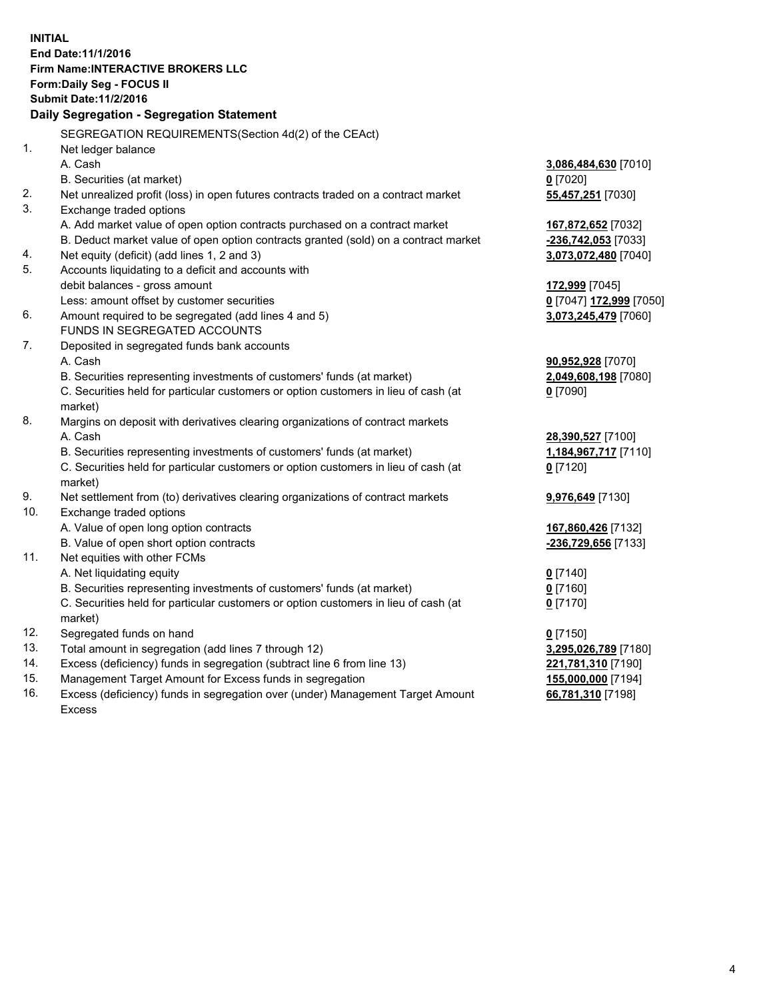**INITIAL End Date:11/1/2016 Firm Name:INTERACTIVE BROKERS LLC Form:Daily Seg - FOCUS II Submit Date:11/2/2016 Daily Segregation - Segregation Statement** SEGREGATION REQUIREMENTS(Section 4d(2) of the CEAct) 1. Net ledger balance A. Cash **3,086,484,630** [7010] B. Securities (at market) **0** [7020] 2. Net unrealized profit (loss) in open futures contracts traded on a contract market **55,457,251** [7030] 3. Exchange traded options A. Add market value of open option contracts purchased on a contract market **167,872,652** [7032] B. Deduct market value of open option contracts granted (sold) on a contract market **-236,742,053** [7033] 4. Net equity (deficit) (add lines 1, 2 and 3) **3,073,072,480** [7040] 5. Accounts liquidating to a deficit and accounts with debit balances - gross amount **172,999** [7045] Less: amount offset by customer securities **0** [7047] **172,999** [7050] 6. Amount required to be segregated (add lines 4 and 5) **3,073,245,479** [7060] FUNDS IN SEGREGATED ACCOUNTS 7. Deposited in segregated funds bank accounts A. Cash **90,952,928** [7070] B. Securities representing investments of customers' funds (at market) **2,049,608,198** [7080] C. Securities held for particular customers or option customers in lieu of cash (at market) **0** [7090] 8. Margins on deposit with derivatives clearing organizations of contract markets A. Cash **28,390,527** [7100] B. Securities representing investments of customers' funds (at market) **1,184,967,717** [7110] C. Securities held for particular customers or option customers in lieu of cash (at market) **0** [7120] 9. Net settlement from (to) derivatives clearing organizations of contract markets **9,976,649** [7130] 10. Exchange traded options A. Value of open long option contracts **167,860,426** [7132] B. Value of open short option contracts **-236,729,656** [7133] 11. Net equities with other FCMs A. Net liquidating equity **0** [7140] B. Securities representing investments of customers' funds (at market) **0** [7160] C. Securities held for particular customers or option customers in lieu of cash (at market) **0** [7170] 12. Segregated funds on hand **0** [7150] 13. Total amount in segregation (add lines 7 through 12) **3,295,026,789** [7180] 14. Excess (deficiency) funds in segregation (subtract line 6 from line 13) **221,781,310** [7190] 15. Management Target Amount for Excess funds in segregation **155,000,000** [7194]

16. Excess (deficiency) funds in segregation over (under) Management Target Amount Excess

**66,781,310** [7198]